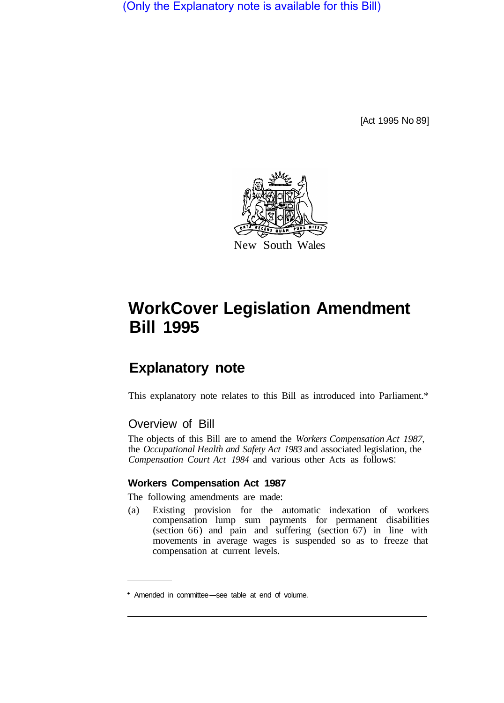(Only the Explanatory note is available for this Bill)

[Act 1995 No 89]



# **WorkCover Legislation Amendment Bill 1995**

# **Explanatory note**

This explanatory note relates to this Bill as introduced into Parliament.\*

# Overview of Bill

The objects of this Bill are to amend the *Workers Compensation Act 1987,* the *Occupational Health and Safety Act 1983* and associated legislation, the *Compensation Court Act 1984* and various other Acts as follows:

#### **Workers Compensation Act 1987**

The following amendments are made:

(a) Existing provision for the automatic indexation of workers compensation lump sum payments for permanent disabilities (section 66) and pain and suffering (section 67) in line with movements in average wages is suspended so as to freeze that compensation at current levels.

Amended in committee-see table at end of volume.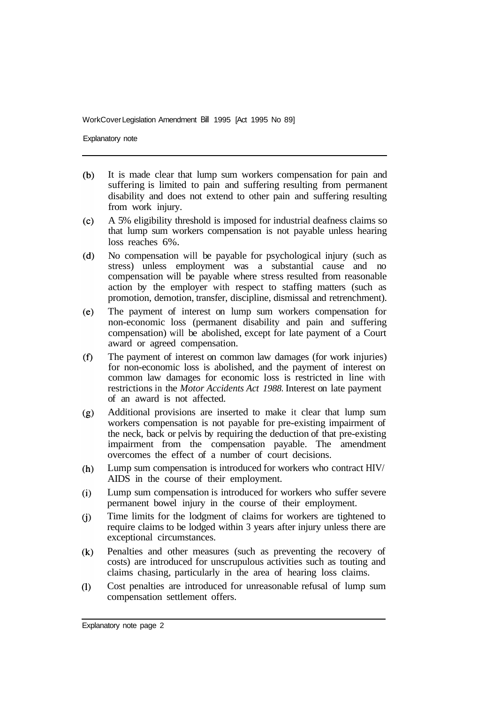Explanatory note

- $(b)$ It is made clear that lump sum workers compensation for pain and suffering is limited to pain and suffering resulting from permanent disability and does not extend to other pain and suffering resulting from work injury.
- $(c)$ A 5% eligibility threshold is imposed for industrial deafness claims so that lump sum workers compensation is not payable unless hearing loss reaches 6%.
- $(d)$ No compensation will be payable for psychological injury (such as stress) unless employment was a substantial cause and no compensation will be payable where stress resulted from reasonable action by the employer with respect to staffing matters (such as promotion, demotion, transfer, discipline, dismissal and retrenchment).
- $(e)$ The payment of interest on lump sum workers compensation for non-economic loss (permanent disability and pain and suffering compensation) will be abolished, except for late payment of a Court award or agreed compensation.
- The payment of interest on common law damages (for work injuries)  $(f)$ for non-economic loss is abolished, and the payment of interest on common law damages for economic loss is restricted in line with restrictions in the *Motor Accidents Act 1988.* Interest on late payment of an award is not affected.
- Additional provisions are inserted to make it clear that lump sum  $(g)$ workers compensation is not payable for pre-existing impairment of the neck, back or pelvis by requiring the deduction of that pre-existing impairment from the compensation payable. The amendment overcomes the effect of a number of court decisions.
- Lump sum compensation is introduced for workers who contract HIV/  $(h)$ AIDS in the course of their employment.
- Lump sum compensation is introduced for workers who suffer severe  $(i)$ permanent bowel injury in the course of their employment.
- Time limits for the lodgment of claims for workers are tightened to  $(i)$ require claims to be lodged within 3 years after injury unless there are exceptional circumstances.
- $(k)$ Penalties and other measures (such as preventing the recovery of costs) are introduced for unscrupulous activities such as touting and claims chasing, particularly in the area of hearing loss claims.
- Cost penalties are introduced for unreasonable refusal of lump sum  $(1)$ compensation settlement offers.

Explanatory note page 2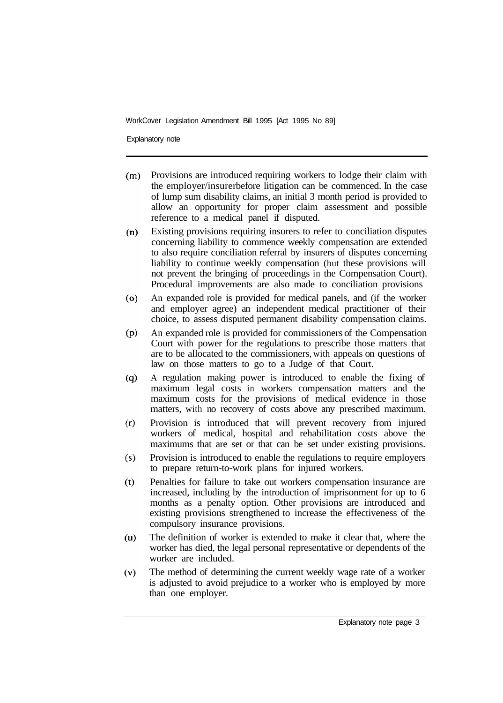Explanatory note

- Provisions are introduced requiring workers to lodge their claim with  $(m)$ the employer/insurer before litigation can be commenced. In the case of lump sum disability claims, an initial 3 month period is provided to allow an opportunity for proper claim assessment and possible reference to a medical panel if disputed.
- Existing provisions requiring insurers to refer to conciliation disputes  $(n)$ concerning liability to commence weekly compensation are extended to also require conciliation referral by insurers of disputes concerning liability to continue weekly compensation (but these provisions will not prevent the bringing of proceedings in the Compensation Court). Procedural improvements are also made to conciliation provisions
- An expanded role is provided for medical panels, and (if the worker  $(o)$ and employer agree) an independent medical practitioner of their choice, to assess disputed permanent disability compensation claims.
- $(p)$ An expanded role is provided for commissioners of the Compensation Court with power for the regulations to prescribe those matters that are to be allocated to the commissioners, with appeals on questions of law on those matters to go to a Judge of that Court.
- A regulation making power is introduced to enable the fixing of  $(q)$ maximum legal costs in workers compensation matters and the maximum costs for the provisions of medical evidence in those matters, with no recovery of costs above any prescribed maximum.
- $(r)$ Provision is introduced that will prevent recovery from injured workers of medical, hospital and rehabilitation costs above the maximums that are set or that can be set under existing provisions.
- Provision is introduced to enable the regulations to require employers  $(s)$ to prepare return-to-work plans for injured workers.
- Penalties for failure to take out workers compensation insurance are  $(t)$ increased, including by the introduction of imprisonment for up to 6 months as a penalty option. Other provisions are introduced and existing provisions strengthened to increase the effectiveness of the compulsory insurance provisions.
- The definition of worker is extended to make it clear that, where the  $(u)$ worker has died, the legal personal representative or dependents of the worker are included.
- $(v)$ The method of determining the current weekly wage rate of a worker is adjusted to avoid prejudice to a worker who is employed by more than one employer.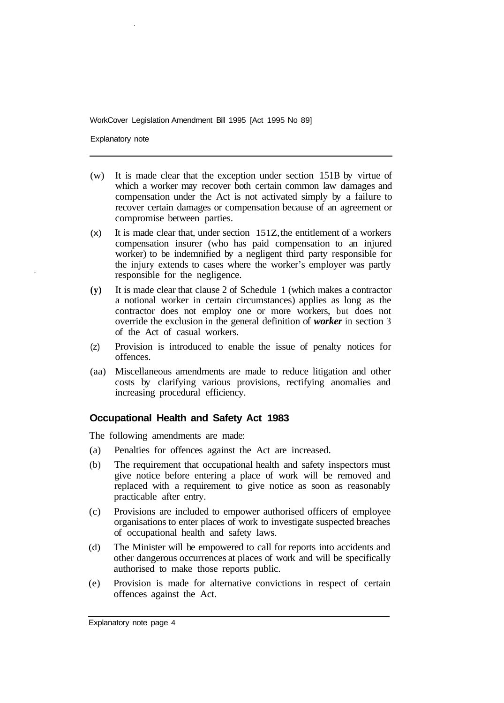Explanatory note

- (w) It is made clear that the exception under section 15 1B by virtue of which a worker may recover both certain common law damages and compensation under the Act is not activated simply by a failure to recover certain damages or compensation because of an agreement or compromise between parties.
- (x) It is made clear that, under section 151Z, the entitlement of a workers compensation insurer (who has paid compensation to an injured worker) to be indemnified by a negligent third party responsible for the injury extends to cases where the worker's employer was partly responsible for the negligence.
- **(y)** It is made clear that clause 2 of Schedule 1 (which makes a contractor a notional worker in certain circumstances) applies as long as the contractor does not employ one or more workers, but does not override the exclusion in the general definition of *worker* in section 3 of the Act of casual workers.
- (z) Provision is introduced to enable the issue of penalty notices for offences.
- (aa) Miscellaneous amendments are made to reduce litigation and other costs by clarifying various provisions, rectifying anomalies and increasing procedural efficiency.

#### **Occupational Health and Safety Act 1983**

The following amendments are made:

- (a) Penalties for offences against the Act are increased.
- (b) The requirement that occupational health and safety inspectors must give notice before entering a place of work will be removed and replaced with a requirement to give notice as soon as reasonably practicable after entry.
- (c) Provisions are included to empower authorised officers of employee organisations to enter places of work to investigate suspected breaches of occupational health and safety laws.
- (d) The Minister will be empowered to call for reports into accidents and other dangerous occurrences at places of work and will be specifically authorised to make those reports public.
- (e) Provision is made for alternative convictions in respect of certain offences against the Act.

Explanatory note page 4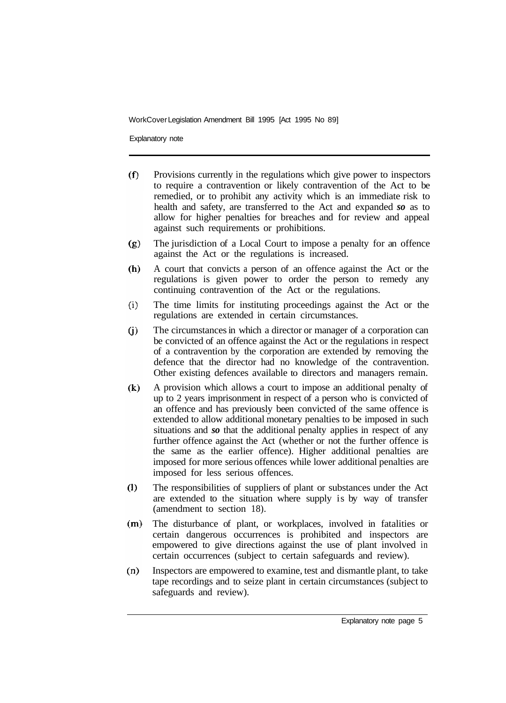Explanatory note

- $(f)$ Provisions currently in the regulations which give power to inspectors to require a contravention or likely contravention of the Act to be remedied, or to prohibit any activity which is an immediate risk to health and safety, are transferred to the Act and expanded *so* as to allow for higher penalties for breaches and for review and appeal against such requirements or prohibitions.
- The jurisdiction of a Local Court to impose a penalty for an offence  $(g)$ against the Act or the regulations is increased.
- A court that convicts a person of an offence against the Act or the  $(h)$ regulations is given power to order the person to remedy any continuing contravention of the Act or the regulations.
- $(i)$ The time limits for instituting proceedings against the Act or the regulations are extended in certain circumstances.
- The circumstances in which a director or manager of a corporation can  $(i)$ be convicted of an offence against the Act or the regulations in respect of a contravention by the corporation are extended by removing the defence that the director had no knowledge of the contravention. Other existing defences available to directors and managers remain.
- $(k)$ A provision which allows a court to impose an additional penalty of up to 2 years imprisonment in respect of a person who is convicted of an offence and has previously been convicted of the same offence is extended to allow additional monetary penalties to be imposed in such situations and *so* that the additional penalty applies in respect of any further offence against the Act (whether or not the further offence is the same as the earlier offence). Higher additional penalties are imposed for more serious offences while lower additional penalties are imposed for less serious offences.
- $(1)$ The responsibilities of suppliers of plant or substances under the Act are extended to the situation where supply is by way of transfer (amendment to section 18).
- $(m)$ The disturbance of plant, or workplaces, involved in fatalities or certain dangerous occurrences is prohibited and inspectors are empowered to give directions against the use of plant involved in certain occurrences (subject to certain safeguards and review).
- $(n)$ Inspectors are empowered to examine, test and dismantle plant, to take tape recordings and to seize plant in certain circumstances (subject to safeguards and review).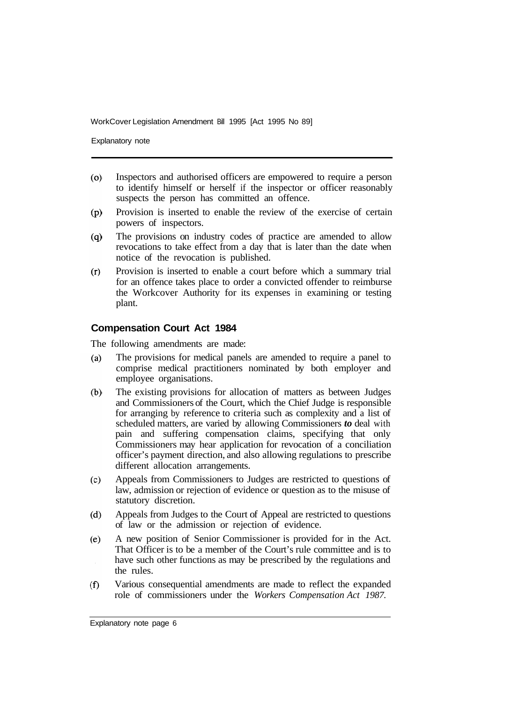Explanatory note

- $(0)$ Inspectors and authorised officers are empowered to require a person to identify himself or herself if the inspector or officer reasonably suspects the person has committed an offence.
- Provision is inserted to enable the review of the exercise of certain  $(p)$ powers of inspectors.
- $(q)$ The provisions on industry codes of practice are amended to allow revocations to take effect from a day that is later than the date when notice of the revocation is published.
- Provision is inserted to enable a court before which a summary trial  $(r)$ for an offence takes place to order a convicted offender to reimburse the Workcover Authority for its expenses in examining or testing plant.

#### **Compensation Court Act 1984**

The following amendments are made:

- $(a)$ The provisions for medical panels are amended to require a panel to comprise medical practitioners nominated by both employer and employee organisations.
- $(b)$ The existing provisions for allocation of matters as between Judges and Commissioners of the Court, which the Chief Judge is responsible for arranging by reference to criteria such as complexity and a list of scheduled matters, are varied by allowing Commissioners *to* deal with pain and suffering compensation claims, specifying that only Commissioners may hear application for revocation of a conciliation officer's payment direction, and also allowing regulations to prescribe different allocation arrangements.
- Appeals from Commissioners to Judges are restricted to questions of  $(c)$ law, admission or rejection of evidence or question as to the misuse of statutory discretion.
- Appeals from Judges to the Court of Appeal are restricted to questions  $(d)$ of law or the admission or rejection of evidence.
- $(e)$ A new position of Senior Commissioner is provided for in the Act. That Officer is to be a member of the Court's rule committee and is to have such other functions as may be prescribed by the regulations and the rules.
- Various consequential amendments are made to reflect the expanded  $(f)$ role of commissioners under the *Workers Compensation Act 1987.*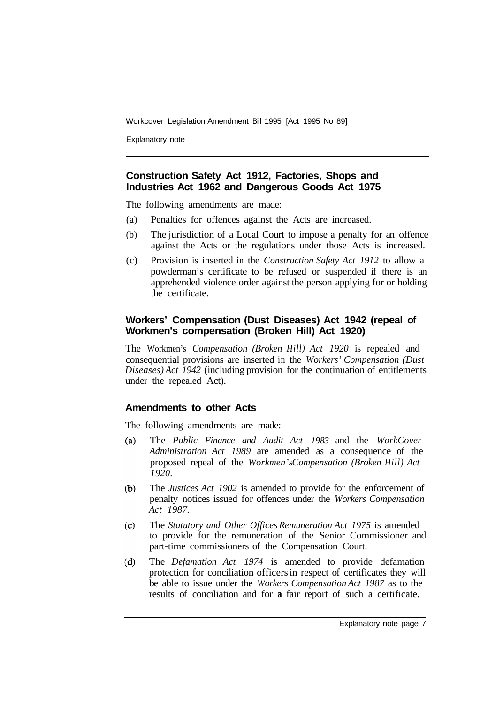Explanatory note

# **Construction Safety Act 1912, Factories, Shops and Industries Act 1962 and Dangerous Goods Act 1975**

The following amendments are made:

- (a) Penalties for offences against the Acts are increased.
- (b) The jurisdiction of a Local Court to impose a penalty for an offence against the Acts or the regulations under those Acts is increased.
- (c) Provision is inserted in the *Construction Safety Act 1912* to allow a powderman's certificate to be refused or suspended if there is an apprehended violence order against the person applying for or holding the certificate.

#### **Workers' Compensation (Dust Diseases) Act 1942 (repeal of Workmen's compensation (Broken Hill) Act 1920)**

The Workmen's *Compensation (Broken Hill) Act 1920* is repealed and consequential provisions are inserted in the *Workers' Compensation (Dust Diseases) Act 1942* (including provision for the continuation of entitlements under the repealed Act).

#### **Amendments to other Acts**

The following amendments are made:

- $(a)$ The *Public Finance and Audit Act 1983* and the *WorkCover Administration Act 1989* are amended as a consequence of the proposed repeal of the *Workmen's Compensation (Broken Hill) Act 1920.*
- $(b)$ The *Justices Act 1902* is amended to provide for the enforcement of penalty notices issued for offences under the *Workers Compensation Act 1987.*
- $(c)$ The *Statutory and Other Offices Remuneration Act 1975* is amended to provide for the remuneration of the Senior Commissioner and part-time commissioners of the Compensation Court.
- $(d)$ The *Defamation Act 1974* is amended to provide defamation protection for conciliation officers in respect of certificates they will be able to issue under the *Workers Compensation Act 1987* as to the results of conciliation and for **a** fair report of such a certificate.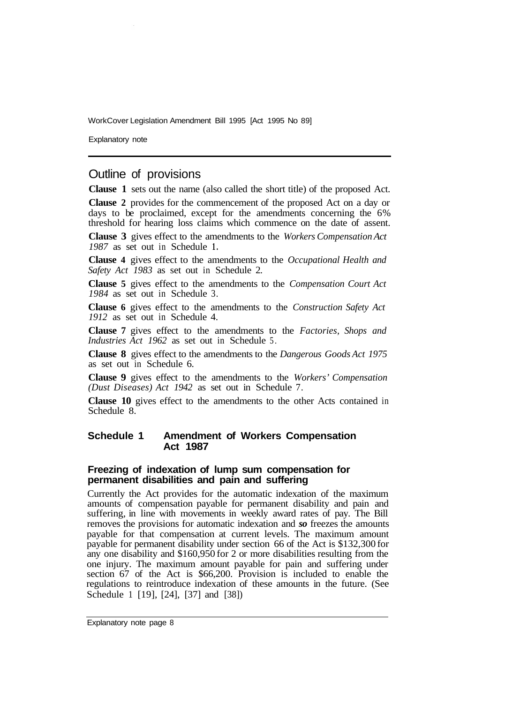Explanatory note

# Outline of provisions

**Clause 1** sets out the name (also called the short title) of the proposed Act.

**Clause 2** provides for the commencement of the proposed Act on a day or days to be proclaimed, except for the amendments concerning the 6% threshold for hearing loss claims which commence on the date of assent.

**Clause 3** gives effect to the amendments to the *Workers Compensation Act 1987* as set out in Schedule **1.** 

**Clause 4** gives effect to the amendments to the *Occupational Health and Safety Act 1983* as set out in Schedule 2.

**Clause 5** gives effect to the amendments to the *Compensation Court Act 1984* as set out in Schedule 3.

**Clause 6** gives effect to the amendments to the *Construction Safety Act 1912* as set out in Schedule 4.

**Clause 7** gives effect to the amendments to the *Factories, Shops and Industries Act 1962* as set out in Schedule 5.

**Clause 8** gives effect to the amendments to the *Dangerous Goods Act 1975*  as set out in Schedule 6.

**Clause 9** gives effect to the amendments to the *Workers' Compensation (Dust Diseases) Act 1942* as set out in Schedule 7.

**Clause 10** gives effect to the amendments to the other Acts contained in Schedule 8.

#### **Schedule 1 Amendment of Workers Compensation Act 1987**

#### **Freezing of indexation of lump sum compensation for permanent disabilities and pain and suffering**

Currently the Act provides for the automatic indexation of the maximum amounts of compensation payable for permanent disability and pain and suffering, in line with movements in weekly award rates of pay. The Bill removes the provisions for automatic indexation and *so* freezes the amounts payable for that compensation at current levels. The maximum amount payable for permanent disability under section 66 of the Act is \$132,300 for any one disability and \$160,950 for 2 or more disabilities resulting from the one injury. The maximum amount payable for pain and suffering under section 67 of the Act is \$66,200. Provision is included to enable the regulations to reintroduce indexation of these amounts in the future. (See Schedule 1 [19], [24], [37] and [38])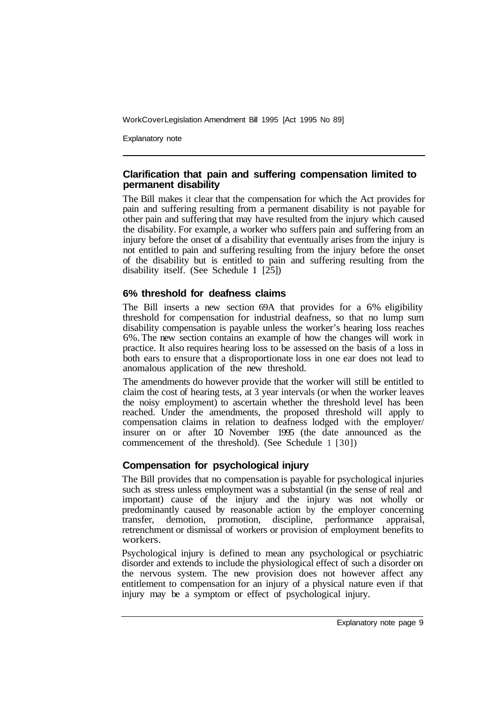Explanatory note

#### **Clarification that pain and suffering compensation limited to permanent disability**

The Bill makes it clear that the compensation for which the Act provides for pain and suffering resulting from a permanent disability is not payable for other pain and suffering that may have resulted from the injury which caused the disability. For example, a worker who suffers pain and suffering from an injury before the onset of a disability that eventually arises from the injury is not entitled to pain and suffering resulting from the injury before the onset of the disability but is entitled to pain and suffering resulting from the disability itself. (See Schedule **<sup>1</sup>** [25])

# **6% threshold for deafness claims**

The Bill inserts a new section 69A that provides for a 6% eligibility threshold for compensation for industrial deafness, so that no lump sum disability compensation is payable unless the worker's hearing loss reaches 6%. The new section contains an example of how the changes will work in practice. It also requires hearing loss to be assessed on the basis of a loss in both ears to ensure that a disproportionate loss in one ear does not lead to anomalous application of the new threshold.

The amendments do however provide that the worker will still be entitled to claim the cost of hearing tests, at 3 year intervals (or when the worker leaves the noisy employment) to ascertain whether the threshold level has been reached. Under the amendments, the proposed threshold will apply to compensation claims in relation to deafness lodged with the employer/ insurer on or after 10 November 1995 (the date announced as the commencement of the threshold). (See Schedule 1 [30])

# **Compensation for psychological injury**

The Bill provides that no compensation is payable for psychological injuries such as stress unless employment was a substantial (in the sense of real and important) cause of the injury and the injury was not wholly or predominantly caused by reasonable action by the employer concerning transfer, demotion, promotion, discipline, performance appraisal, retrenchment or dismissal of workers or provision of employment benefits to workers.

Psychological injury is defined to mean any psychological or psychiatric disorder and extends to include the physiological effect of such a disorder on the nervous system. The new provision does not however affect any entitlement to compensation for an injury of a physical nature even if that injury may be a symptom or effect of psychological injury.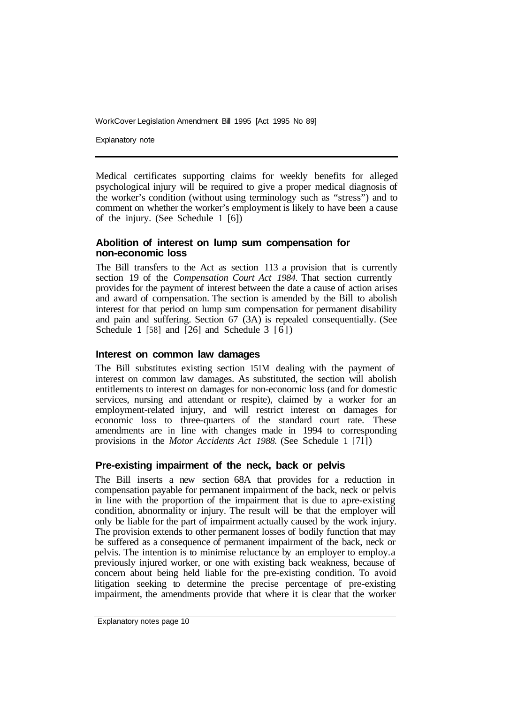Explanatory note

Medical certificates supporting claims for weekly benefits for alleged psychological injury will be required to give a proper medical diagnosis of the worker's condition (without using terminology such as "stress") and to comment on whether the worker's employment is likely to have been a cause of the injury. (See Schedule 1 [6])

#### **Abolition of interest on lump sum compensation for non-economic loss**

The Bill transfers to the Act as section 113 a provision that is currently section 19 of the *Compensation Court Act 1984.* That section currently provides for the payment of interest between the date a cause of action arises and award of compensation. The section is amended by the Bill to abolish interest for that period on lump sum compensation for permanent disability and pain and suffering. Section 67 (3A) is repealed consequentially. (See Schedule 1 [58] and [26] and Schedule 3 [6])

#### **Interest on common law damages**

The Bill substitutes existing section 151M dealing with the payment of interest on common law damages. As substituted, the section will abolish entitlements to interest on damages for non-economic loss (and for domestic services, nursing and attendant or respite), claimed by a worker for an employment-related injury, and will restrict interest on damages for economic loss to three-quarters of the standard court rate. These amendments are in line with changes made in 1994 to corresponding provisions in the *Motor Accidents Act 1988.* (See Schedule 1 [71])

# **Pre-existing impairment of the neck, back or pelvis**

The Bill inserts a new section 68A that provides for a reduction in compensation payable for permanent impairment of the back, neck or pelvis in line with the proportion of the impairment that is due to a pre-existing condition, abnormality or injury. The result will be that the employer will only be liable for the part of impairment actually caused by the work injury. The provision extends to other permanent losses of bodily function that may be suffered as a consequence of permanent impairment of the back, neck or pelvis. The intention is to minimise reluctance by an employer to employ. a previously injured worker, or one with existing back weakness, because of concern about being held liable for the pre-existing condition. To avoid litigation seeking to determine the precise percentage of pre-existing impairment, the amendments provide that where it is clear that the worker

Explanatory notes page 10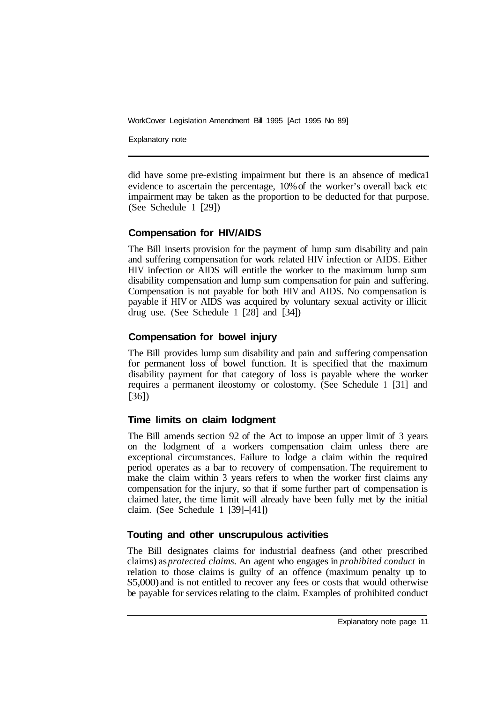Explanatory note

did have some pre-existing impairment but there is an absence of medica1 evidence to ascertain the percentage, 10% of the worker's overall back etc impairment may be taken as the proportion to be deducted for that purpose. (See Schedule 1 [29])

# **Compensation for HIV/AIDS**

The Bill inserts provision for the payment of lump sum disability and pain and suffering compensation for work related HIV infection or AIDS. Either HIV infection or AIDS will entitle the worker to the maximum lump sum disability compensation and lump sum compensation for pain and suffering. Compensation is not payable for both HIV and AIDS. No compensation is payable if HIV or AIDS was acquired by voluntary sexual activity or illicit drug use. (See Schedule 1 [28] and [34])

# **Compensation for bowel injury**

The Bill provides lump sum disability and pain and suffering compensation for permanent loss of bowel function. It is specified that the maximum disability payment for that category of loss is payable where the worker requires a permanent ileostomy or colostomy. (See Schedule 1 [31] and [36])

# **Time limits on claim lodgment**

The Bill amends section 92 of the Act to impose an upper limit of 3 years on the lodgment of a workers compensation claim unless there are exceptional circumstances. Failure to lodge a claim within the required period operates as a bar to recovery of compensation. The requirement to make the claim within 3 years refers to when the worker first claims any compensation for the injury, so that if some further part of compensation is claimed later, the time limit will already have been fully met by the initial claim. (See Schedule 1 [39]-[41])

# **Touting and other unscrupulous activities**

The Bill designates claims for industrial deafness (and other prescribed claims) as *protected claims.* An agent who engages in *prohibited conduct* in relation to those claims is guilty of an offence (maximum penalty up to \$5,000) and is not entitled to recover any fees or costs that would otherwise be payable for services relating to the claim. Examples of prohibited conduct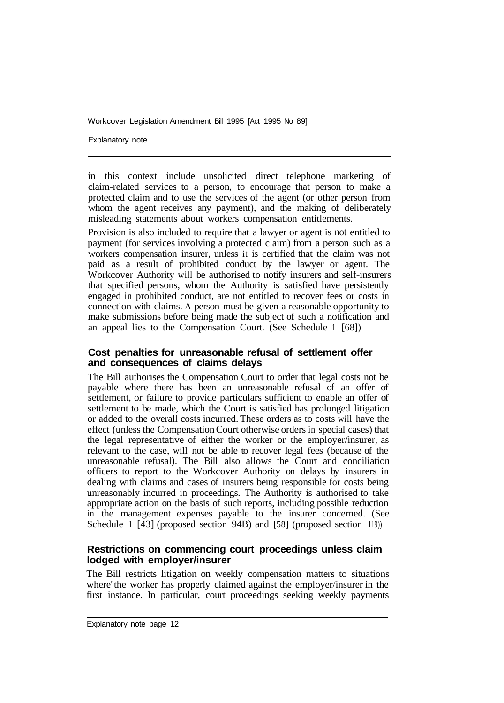Explanatory note

in this context include unsolicited direct telephone marketing of claim-related services to a person, to encourage that person to make a protected claim and to use the services of the agent (or other person from whom the agent receives any payment), and the making of deliberately misleading statements about workers compensation entitlements.

Provision is also included to require that a lawyer or agent is not entitled to payment (for services involving a protected claim) from a person such as a workers compensation insurer, unless it is certified that the claim was not paid as a result of prohibited conduct by the lawyer or agent. The Workcover Authority will be authorised to notify insurers and self-insurers that specified persons, whom the Authority is satisfied have persistently engaged in prohibited conduct, are not entitled to recover fees or costs in connection with claims. A person must be given a reasonable opportunity to make submissions before being made the subject of such a notification and an appeal lies to the Compensation Court. (See Schedule 1 [68])

# **Cost penalties for unreasonable refusal of settlement offer and consequences of claims delays**

The Bill authorises the Compensation Court to order that legal costs not be payable where there has been an unreasonable refusal of an offer of settlement, or failure to provide particulars sufficient to enable an offer of settlement to be made, which the Court is satisfied has prolonged litigation or added to the overall costs incurred. These orders as to costs will have the effect (unless the Compensation Court otherwise orders in special cases) that the legal representative of either the worker or the employer/insurer, as relevant to the case, will not be able to recover legal fees (because of the unreasonable refusal). The Bill also allows the Court and conciliation officers to report to the Workcover Authority on delays by insurers in dealing with claims and cases of insurers being responsible for costs being unreasonably incurred in proceedings. The Authority is authorised to take appropriate action on the basis of such reports, including possible reduction in the management expenses payable to the insurer concerned. (See Schedule 1 [43] (proposed section 94B) and [58] (proposed section 119))

# **Restrictions on commencing court proceedings unless claim lodged with employer/insurer**

The Bill restricts litigation on weekly compensation matters to situations where' the worker has properly claimed against the employer/insurer in the first instance. In particular, court proceedings seeking weekly payments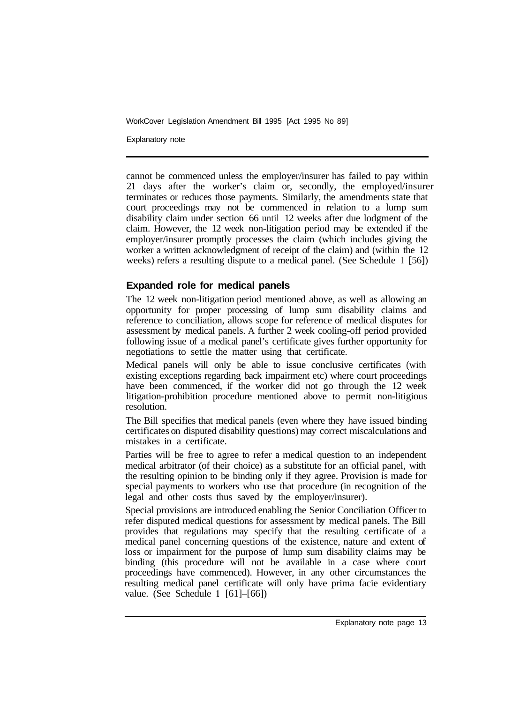Explanatory note

cannot be commenced unless the employer/insurer has failed to pay within 21 days after the worker's claim or, secondly, the employed/insurer terminates or reduces those payments. Similarly, the amendments state that court proceedings may not be commenced in relation to a lump sum disability claim under section 66 until 12 weeks after due lodgment of the claim. However, the 12 week non-litigation period may be extended if the employer/insurer promptly processes the claim (which includes giving the worker a written acknowledgment of receipt of the claim) and (within the 12 weeks) refers a resulting dispute to a medical panel. (See Schedule 1 [56])

# **Expanded role for medical panels**

The 12 week non-litigation period mentioned above, as well as allowing an opportunity for proper processing of lump sum disability claims and reference to conciliation, allows scope for reference of medical disputes for assessment by medical panels. A further 2 week cooling-off period provided following issue of a medical panel's certificate gives further opportunity for negotiations to settle the matter using that certificate.

Medical panels will only be able to issue conclusive certificates (with existing exceptions regarding back impairment etc) where court proceedings have been commenced, if the worker did not go through the 12 week litigation-prohibition procedure mentioned above to permit non-litigious resolution.

The Bill specifies that medical panels (even where they have issued binding certificates on disputed disability questions) may correct miscalculations and mistakes in a certificate.

Parties will be free to agree to refer a medical question to an independent medical arbitrator (of their choice) as a substitute for an official panel, with the resulting opinion to be binding only if they agree. Provision is made for special payments to workers who use that procedure (in recognition of the legal and other costs thus saved by the employer/insurer).

Special provisions are introduced enabling the Senior Conciliation Officer to refer disputed medical questions for assessment by medical panels. The Bill provides that regulations may specify that the resulting certificate of a medical panel concerning questions of the existence, nature and extent of loss or impairment for the purpose of lump sum disability claims may be binding (this procedure will not be available in a case where court proceedings have commenced). However, in any other circumstances the resulting medical panel certificate will only have prima facie evidentiary value. (See Schedule **<sup>1</sup>** [61]–[66])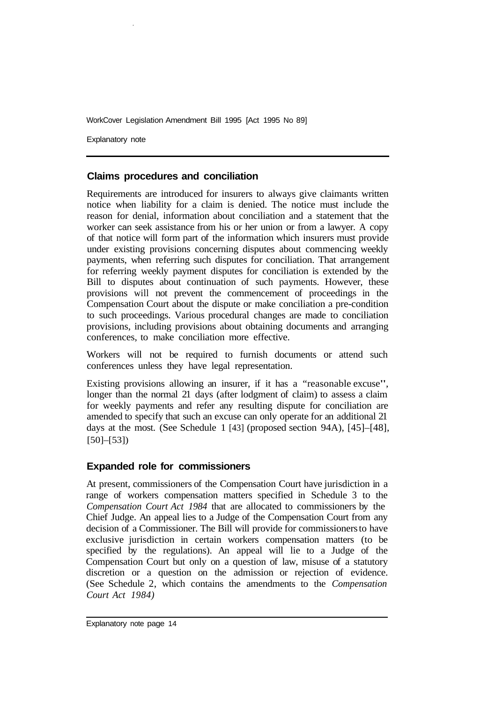Explanatory note

# **Claims procedures and conciliation**

Requirements are introduced for insurers to always give claimants written notice when liability for a claim is denied. The notice must include the reason for denial, information about conciliation and a statement that the worker can seek assistance from his or her union or from a lawyer. A copy of that notice will form part of the information which insurers must provide under existing provisions concerning disputes about commencing weekly payments, when referring such disputes for conciliation. That arrangement for referring weekly payment disputes for conciliation is extended by the Bill to disputes about continuation of such payments. However, these provisions will not prevent the commencement of proceedings in the Compensation Court about the dispute or make conciliation a pre-condition to such proceedings. Various procedural changes are made to conciliation provisions, including provisions about obtaining documents and arranging conferences, to make conciliation more effective.

Workers will not be required to furnish documents or attend such conferences unless they have legal representation.

Existing provisions allowing an insurer, if it has a "reasonable excuse", longer than the normal 21 days (after lodgment of claim) to assess a claim for weekly payments and refer any resulting dispute for conciliation are amended to specify that such an excuse can only operate for an additional 21 days at the most. (See Schedule 1 [43] (proposed section 94A), [45]–[48], [50]–[53])

# **Expanded role for commissioners**

At present, commissioners of the Compensation Court have jurisdiction in a range of workers compensation matters specified in Schedule 3 to the *Compensation Court Act 1984* that are allocated to commissioners by the Chief Judge. An appeal lies to a Judge of the Compensation Court from any decision of a Commissioner. The Bill will provide for commissioners to have exclusive jurisdiction in certain workers compensation matters (to be specified by the regulations). An appeal will lie to a Judge of the Compensation Court but only on a question of law, misuse of a statutory discretion or a question on the admission or rejection of evidence. (See Schedule 2, which contains the amendments to the *Compensation Court Act 1984)*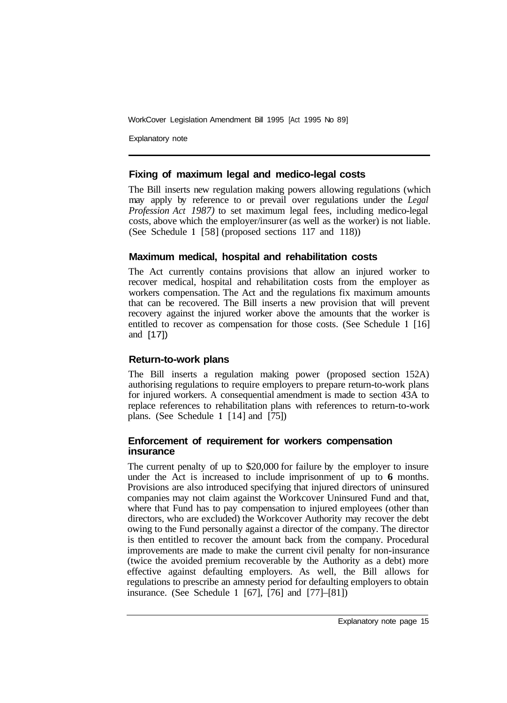Explanatory note

#### **Fixing of maximum legal and medico-legal costs**

The Bill inserts new regulation making powers allowing regulations (which may apply by reference to or prevail over regulations under the *Legal Profession Act 1987)* to set maximum legal fees, including medico-legal costs, above which the employer/insurer (as well as the worker) is not liable. (See Schedule **1** [58] (proposed sections 117 and 118))

# **Maximum medical, hospital and rehabilitation costs**

The Act currently contains provisions that allow an injured worker to recover medical, hospital and rehabilitation costs from the employer as workers compensation. The Act and the regulations fix maximum amounts that can be recovered. The Bill inserts a new provision that will prevent recovery against the injured worker above the amounts that the worker is entitled to recover as compensation for those costs. (See Schedule **<sup>1</sup>** [16] and [17])

# **Return-to-work plans**

The Bill inserts a regulation making power (proposed section 152A) authorising regulations to require employers to prepare return-to-work plans for injured workers. A consequential amendment is made to section 43A to replace references to rehabilitation plans with references to return-to-work plans. (See Schedule **1** [14] and [75])

#### **Enforcement of requirement for workers compensation insurance**

The current penalty of up to \$20,000 for failure by the employer to insure under the Act is increased to include imprisonment of up to **6** months. Provisions are also introduced specifying that injured directors of uninsured companies may not claim against the Workcover Uninsured Fund and that, where that Fund has to pay compensation to injured employees (other than directors, who are excluded) the Workcover Authority may recover the debt owing to the Fund personally against a director of the company. The director is then entitled to recover the amount back from the company. Procedural improvements are made to make the current civil penalty for non-insurance (twice the avoided premium recoverable by the Authority as a debt) more effective against defaulting employers. As well, the Bill allows for regulations to prescribe an amnesty period for defaulting employers to obtain insurance. (See Schedule **<sup>1</sup>** [67], [76] and [77]–[81])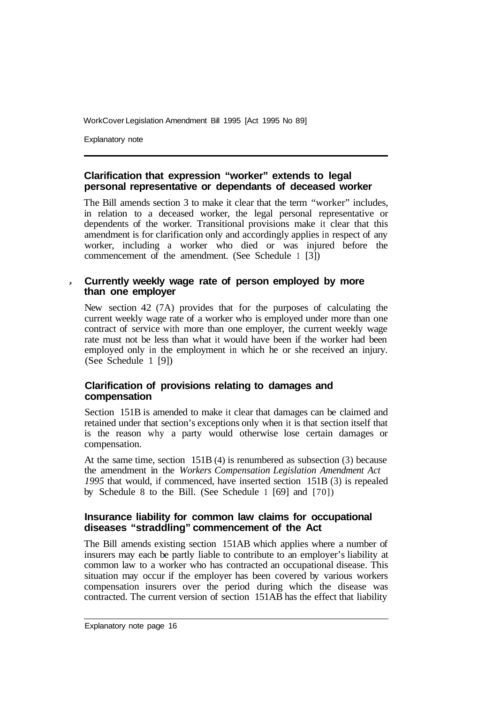Explanatory note

#### **Clarification that expression "worker" extends to legal personal representative or dependants of deceased worker**

The Bill amends section 3 to make it clear that the term "worker" includes, in relation to a deceased worker, the legal personal representative or dependents of the worker. Transitional provisions make it clear that this amendment is for clarification only and accordingly applies in respect of any worker, including a worker who died or was injured before the commencement of the amendment. (See Schedule 1 [3])

# **Currently weekly wage rate of person employed by more than one employer**

New section 42 (7A) provides that for the purposes of calculating the current weekly wage rate of a worker who is employed under more than one contract of service with more than one employer, the current weekly wage rate must not be less than what it would have been if the worker had been employed only in the employment in which he or she received an injury. (See Schedule 1 [9])

# **Clarification of provisions relating to damages and compensation**

Section 151B is amended to make it clear that damages can be claimed and retained under that section's exceptions only when it is that section itself that is the reason why a party would otherwise lose certain damages or compensation.

At the same time, section 151B (4) is renumbered as subsection (3) because the amendment in the *Workers Compensation Legislation Amendment Act 1995* that would, if commenced, have inserted section 151B (3) is repealed by Schedule 8 to the Bill. (See Schedule 1 [69] and [70])

# **Insurance liability for common law claims for occupational diseases "straddling" commencement of the Act**

The Bill amends existing section 151AB which applies where a number of insurers may each be partly liable to contribute to an employer's liability at common law to a worker who has contracted an occupational disease. This situation may occur if the employer has been covered by various workers compensation insurers over the period during which the disease was contracted. The current version of section 151AB has the effect that liability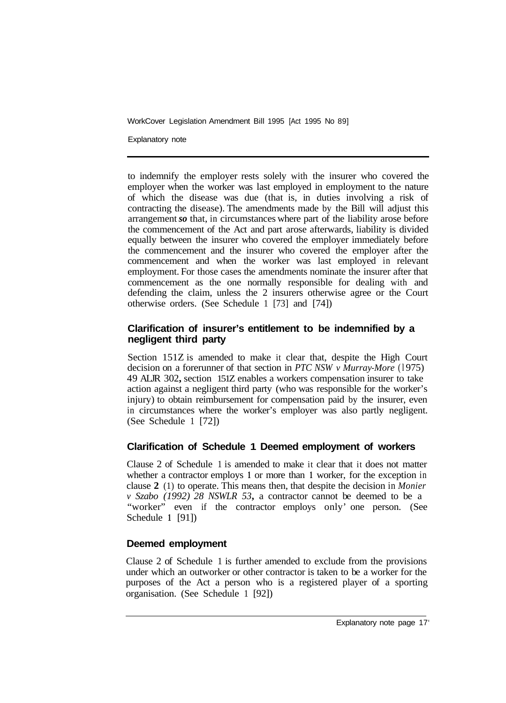Explanatory note

to indemnify the employer rests solely with the insurer who covered the employer when the worker was last employed in employment to the nature of which the disease was due (that is, in duties involving a risk of contracting the disease). The amendments made by the Bill will adjust this arrangement *so* that, in circumstances where part of the liability arose before the commencement of the Act and part arose afterwards, liability is divided equally between the insurer who covered the employer immediately before the commencement and the insurer who covered the employer after the commencement and when the worker was last employed in relevant employment. For those cases the amendments nominate the insurer after that commencement as the one normally responsible for dealing with and defending the claim, unless the 2 insurers otherwise agree or the Court otherwise orders. (See Schedule 1 [73] and [74])

# **Clarification of insurer's entitlement to be indemnified by a negligent third party**

Section 151Z is amended to make it clear that, despite the High Court decision on a forerunner of that section in *PTC NSW v Murray-More* (1975) 49 ALJR 302**,** section 151Z enables a workers compensation insurer to take action against a negligent third party (who was responsible for the worker's injury) to obtain reimbursement for compensation paid by the insurer, even in circumstances where the worker's employer was also partly negligent. (See Schedule 1 [72])

# **Clarification of Schedule 1 Deemed employment of workers**

Clause 2 of Schedule 1 is amended to make it clear that it does not matter whether a contractor employs **1** or more than **1** worker, for the exception in clause **2** (1) to operate. This means then, that despite the decision in *Monier v Szabo (1992) 28 NSWLR 53***,** a contractor cannot be deemed to be a "worker" even if the contractor employs only' one person. (See Schedule **1** [91])

# **Deemed employment**

Clause 2 of Schedule 1 is further amended to exclude from the provisions under which an outworker or other contractor is taken to be a worker for the purposes of the Act a person who is a registered player of a sporting organisation. (See Schedule 1 [92])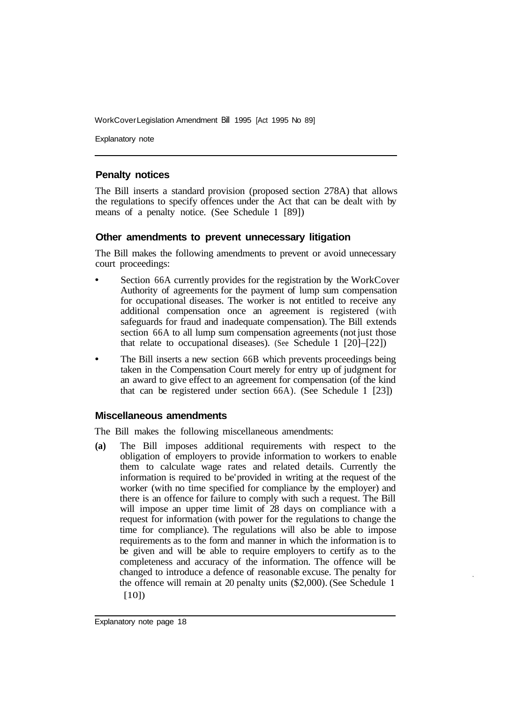Explanatory note

#### **Penalty notices**

The Bill inserts a standard provision (proposed section 278A) that allows the regulations to specify offences under the Act that can be dealt with by means of a penalty notice. (See Schedule **1** [89])

#### **Other amendments to prevent unnecessary litigation**

The Bill makes the following amendments to prevent or avoid unnecessary court proceedings:

- Section 66A currently provides for the registration by the WorkCover Authority of agreements for the payment of lump sum compensation for occupational diseases. The worker is not entitled to receive any additional compensation once an agreement is registered (with safeguards for fraud and inadequate compensation). The Bill extends section 66A to all lump sum compensation agreements (not just those that relate to occupational diseases). (See Schedule **1** [20]–[22])
- The Bill inserts a new section 66B which prevents proceedings being taken in the Compensation Court merely for entry up of judgment for an award to give effect to an agreement for compensation (of the kind that can be registered under section 66A). (See Schedule **1** [23])

#### **Miscellaneous amendments**

The Bill makes the following miscellaneous amendments:

**(a)** The Bill imposes additional requirements with respect to the obligation of employers to provide information to workers to enable them to calculate wage rates and related details. Currently the information is required to be' provided in writing at the request of the worker (with no time specified for compliance by the employer) and there is an offence for failure to comply with such a request. The Bill will impose an upper time limit of 28 days on compliance with a request for information (with power for the regulations to change the time for compliance). The regulations will also be able to impose requirements as to the form and manner in which the information is to be given and will be able to require employers to certify as to the completeness and accuracy of the information. The offence will be changed to introduce a defence of reasonable excuse. The penalty for the offence will remain at 20 penalty units (\$2,000). (See Schedule **<sup>1</sup>** [10])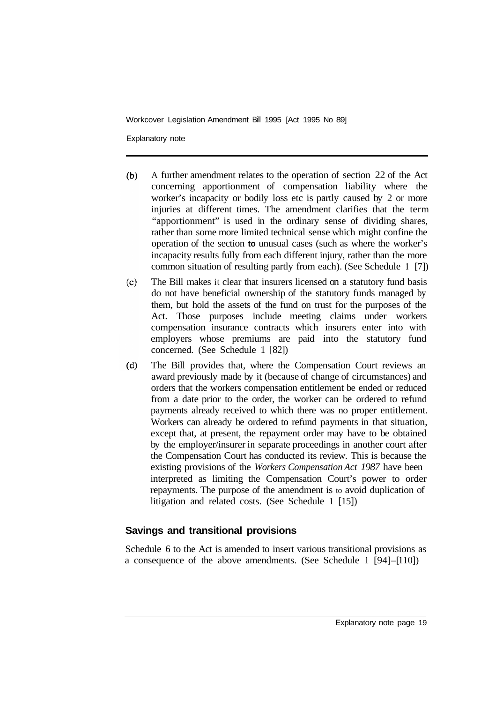Explanatory note

- $(b)$ A further amendment relates to the operation of section 22 of the Act concerning apportionment of compensation liability where the worker's incapacity or bodily loss etc is partly caused by 2 or more injuries at different times. The amendment clarifies that the term "apportionment" is used in the ordinary sense of dividing shares, rather than some more limited technical sense which might confine the operation of the section **to** unusual cases (such as where the worker's incapacity results fully from each different injury, rather than the more common situation of resulting partly from each). (See Schedule **<sup>1</sup>** [7])
- The Bill makes it clear that insurers licensed on a statutory fund basis  $(c)$ do not have beneficial ownership of the statutory funds managed by them, but hold the assets of the fund on trust for the purposes of the Act. Those purposes include meeting claims under workers compensation insurance contracts which insurers enter into with employers whose premiums are paid into the statutory fund concerned. (See Schedule 1 [82])
- $(d)$ The Bill provides that, where the Compensation Court reviews an award previously made by it (because of change of circumstances) and orders that the workers compensation entitlement be ended or reduced from a date prior to the order, the worker can be ordered to refund payments already received to which there was no proper entitlement. Workers can already be ordered to refund payments in that situation, except that, at present, the repayment order may have to be obtained by the employer/insurer in separate proceedings in another court after the Compensation Court has conducted its review. This is because the existing provisions of the *Workers Compensation Act 1987* have been interpreted as limiting the Compensation Court's power to order repayments. The purpose of the amendment is to avoid duplication of litigation and related costs. (See Schedule 1 [15])

# **Savings and transitional provisions**

Schedule 6 to the Act is amended to insert various transitional provisions as a consequence of the above amendments. (See Schedule  $1 \left[ 94 \right] - [110]$ )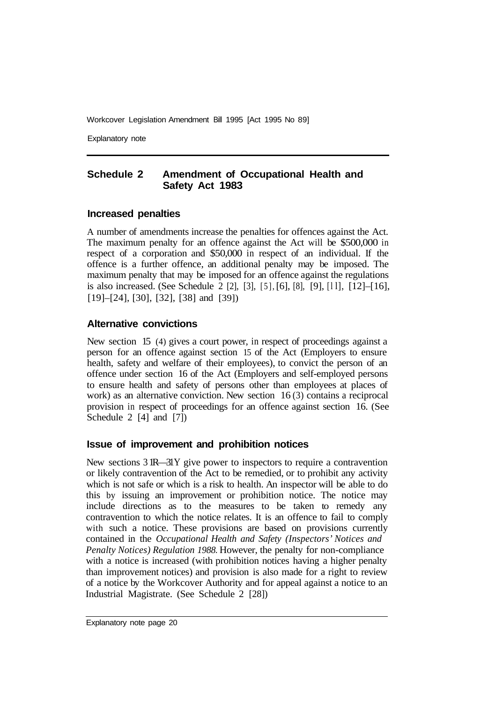Explanatory note

# **Schedule 2 Amendment of Occupational Health and Safety Act 1983**

#### **Increased penalties**

A number of amendments increase the penalties for offences against the Act. The maximum penalty for an offence against the Act will be \$500,000 in respect of a corporation and \$50,000 in respect of an individual. If the offence is a further offence, an additional penalty may be imposed. The maximum penalty that may be imposed for an offence against the regulations is also increased. (See Schedule 2 [2], [3], [5], [6], [8], [9], [l l], [12]–[16], [19]–[24], [30], [32], [38] and [39])

# **Alternative convictions**

New section 15 (4) gives a court power, in respect of proceedings against a person for an offence against section 15 of the Act (Employers to ensure health, safety and welfare of their employees), to convict the person of an offence under section 16 of the Act (Employers and self-employed persons to ensure health and safety of persons other than employees at places of work) as an alternative conviction. New section 16(3) contains a reciprocal provision in respect of proceedings for an offence against section 16. (See Schedule 2 [4] and [7])

#### **Issue of improvement and prohibition notices**

New sections  $3 \text{ IR}$ — $3 \text{Y}$  give power to inspectors to require a contravention or likely contravention of the Act to be remedied, or to prohibit any activity which is not safe or which is a risk to health. An inspector will be able to do this by issuing an improvement or prohibition notice. The notice may include directions as to the measures to be taken to remedy any contravention to which the notice relates. It is an offence to fail to comply with such a notice. These provisions are based on provisions currently contained in the *Occupational Health and Safety (Inspectors' Notices and Penalty Notices) Regulation 1988.* However, the penalty for non-compliance with a notice is increased (with prohibition notices having a higher penalty than improvement notices) and provision is also made for a right to review of a notice by the Workcover Authority and for appeal against a notice to an Industrial Magistrate. (See Schedule 2 [28])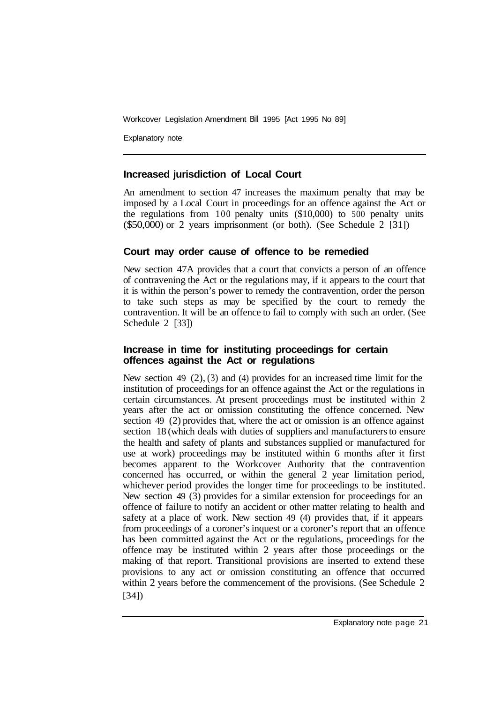Explanatory note

# **Increased jurisdiction of Local Court**

An amendment to section 47 increases the maximum penalty that may be imposed by a Local Court in proceedings for an offence against the Act or the regulations from 100 penalty units (\$10,000) to 500 penalty units (\$50,000) or 2 years imprisonment (or both). (See Schedule 2 [31])

# **Court may order cause of offence to be remedied**

New section 47A provides that a court that convicts a person of an offence of contravening the Act or the regulations may, if it appears to the court that it is within the person's power to remedy the contravention, order the person to take such steps as may be specified by the court to remedy the contravention. It will be an offence to fail to comply with such an order. (See Schedule 2 [33])

# **Increase in time for instituting proceedings for certain offences against the Act or regulations**

New section 49 (2), (3) and (4) provides for an increased time limit for the institution of proceedings for an offence against the Act or the regulations in certain circumstances. At present proceedings must be instituted within 2 years after the act or omission constituting the offence concerned. New section 49 (2) provides that, where the act or omission is an offence against section 18 (which deals with duties of suppliers and manufacturers to ensure the health and safety of plants and substances supplied or manufactured for use at work) proceedings may be instituted within 6 months after it first becomes apparent to the Workcover Authority that the contravention concerned has occurred, or within the general 2 year limitation period, whichever period provides the longer time for proceedings to be instituted. New section 49 (3) provides for a similar extension for proceedings for an offence of failure to notify an accident or other matter relating to health and safety at a place of work. New section 49 (4) provides that, if it appears from proceedings of a coroner's inquest or a coroner's report that an offence has been committed against the Act or the regulations, proceedings for the offence may be instituted within 2 years after those proceedings or the making of that report. Transitional provisions are inserted to extend these provisions to any act or omission constituting an offence that occurred within 2 years before the commencement of the provisions. (See Schedule 2 [34])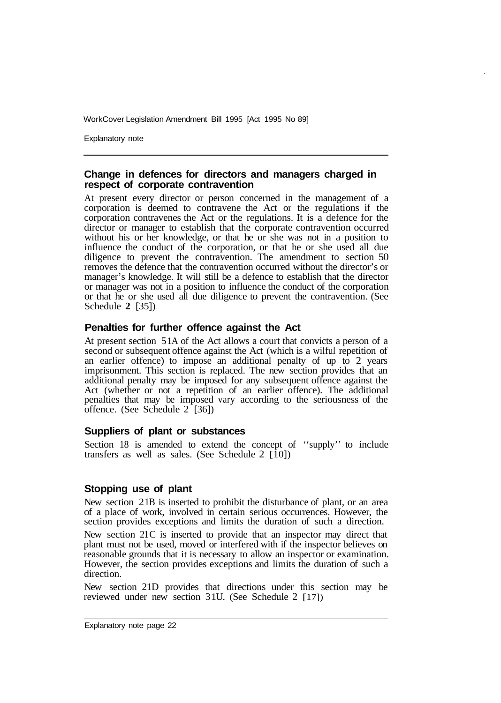Explanatory note

#### **Change in defences for directors and managers charged in respect of corporate contravention**

At present every director or person concerned in the management of a corporation is deemed to contravene the Act or the regulations if the corporation contravenes the Act or the regulations. It is a defence for the director or manager to establish that the corporate contravention occurred without his or her knowledge, or that he or she was not in a position to influence the conduct of the corporation, or that he or she used all due diligence to prevent the contravention. The amendment to section 50 removes the defence that the contravention occurred without the director's or manager's knowledge. It will still be a defence to establish that the director or manager was not in a position to influence the conduct of the corporation or that he or she used all due diligence to prevent the contravention. (See Schedule **2** [35])

#### **Penalties for further offence against the Act**

At present section 5 1A of the Act allows a court that convicts a person of a second or subsequent offence against the Act (which is a wilful repetition of an earlier offence) to impose an additional penalty of up to 2 years imprisonment. This section is replaced. The new section provides that an additional penalty may be imposed for any subsequent offence against the Act (whether or not a repetition of an earlier offence). The additional penalties that may be imposed vary according to the seriousness of the offence. (See Schedule 2 [36])

#### **Suppliers of plant or substances**

Section 18 is amended to extend the concept of ''supply'' to include transfers as well as sales. (See Schedule 2  $\overline{[10]}$ )

#### **Stopping use of plant**

New section 2 1B is inserted to prohibit the disturbance of plant, or an area of a place of work, involved in certain serious occurrences. However, the section provides exceptions and limits the duration of such a direction.

New section 21C is inserted to provide that an inspector may direct that plant must not be used, moved or interfered with if the inspector believes on reasonable grounds that it is necessary to allow an inspector or examination. However, the section provides exceptions and limits the duration of such a direction.

New section 21D provides that directions under this section may be reviewed under new section 31U. (See Schedule 2 [17])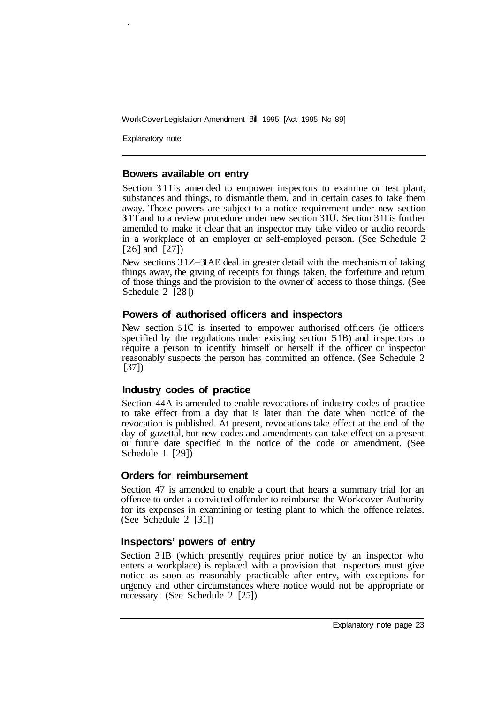Explanatory note

#### **Bowers available on entry**

Section 31I is amended to empower inspectors to examine or test plant, substances and things, to dismantle them, and in certain cases to take them away. Those powers are subject to a notice requirement under new section **3** 1T and to a review procedure under new section 3 **1** U. Section 3 1I is further amended to make it clear that an inspector may take video or audio records in a workplace of an employer or self-employed person. (See Schedule 2 [26] and [27])

New sections 31Z–3 AE deal in greater detail with the mechanism of taking things away, the giving of receipts for things taken, the forfeiture and return of those things and the provision to the owner of access to those things. (See Schedule 2 [28])

# **Powers of authorised officers and inspectors**

New section 5 1C is inserted to empower authorised officers (ie officers specified by the regulations under existing section 51B) and inspectors to require a person to identify himself or herself if the officer or inspector reasonably suspects the person has committed an offence. (See Schedule 2 [37])

#### **Industry codes of practice**

Section 44A is amended to enable revocations of industry codes of practice to take effect from a day that is later than the date when notice of the revocation is published. At present, revocations take effect at the end of the day of gazettal, but new codes and amendments can take effect on a present or future date specified in the notice of the code or amendment. (See Schedule **1** [29])

# **Orders for reimbursement**

Section 47 is amended to enable a court that hears **a** summary trial for an offence to order a convicted offender to reimburse the Workcover Authority for its expenses in examining or testing plant to which the offence relates. (See Schedule 2 [31])

# **Inspectors' powers of entry**

Section 3 1B (which presently requires prior notice by an inspector who enters a workplace) is replaced with a provision that inspectors must give notice as soon as reasonably practicable after entry, with exceptions for urgency and other circumstances where notice would not be appropriate or necessary. (See Schedule 2 [25])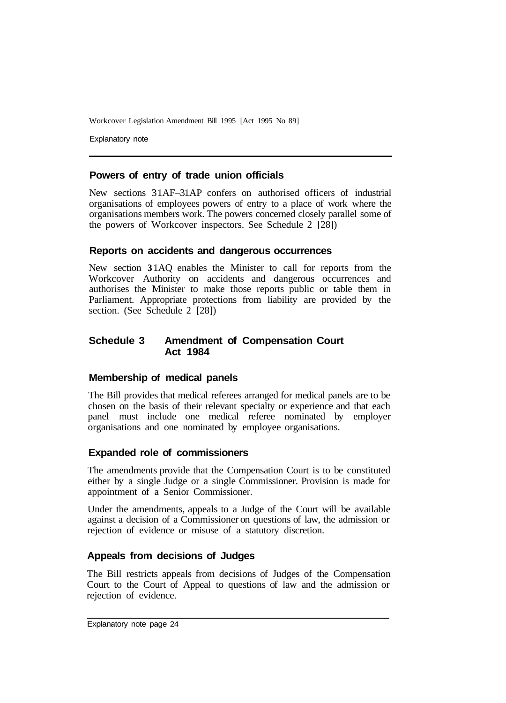Explanatory note

# **Powers of entry of trade union officials**

New sections 31AF–31AP confers on authorised officers of industrial organisations of employees powers of entry to a place of work where the organisations members work. The powers concerned closely parallel some of the powers of Workcover inspectors. See Schedule 2 [28])

#### **Reports on accidents and dangerous occurrences**

New section **3** 1AQ enables the Minister to call for reports from the Workcover Authority on accidents and dangerous occurrences and authorises the Minister to make those reports public or table them in Parliament. Appropriate protections from liability are provided by the section. (See Schedule  $2$  [28])

# **Schedule 3 Amendment of Compensation Court Act 1984**

# **Membership of medical panels**

The Bill provides that medical referees arranged for medical panels are to be chosen on the basis of their relevant specialty or experience and that each panel must include one medical referee nominated by employer organisations and one nominated by employee organisations.

# **Expanded role of commissioners**

The amendments provide that the Compensation Court is to be constituted either by a single Judge or a single Commissioner. Provision is made for appointment of a Senior Commissioner.

Under the amendments, appeals to a Judge of the Court will be available against a decision of a Commissioner on questions of law, the admission or rejection of evidence or misuse of a statutory discretion.

#### **Appeals from decisions of Judges**

The Bill restricts appeals from decisions of Judges of the Compensation Court to the Court of Appeal to questions of law and the admission or rejection of evidence.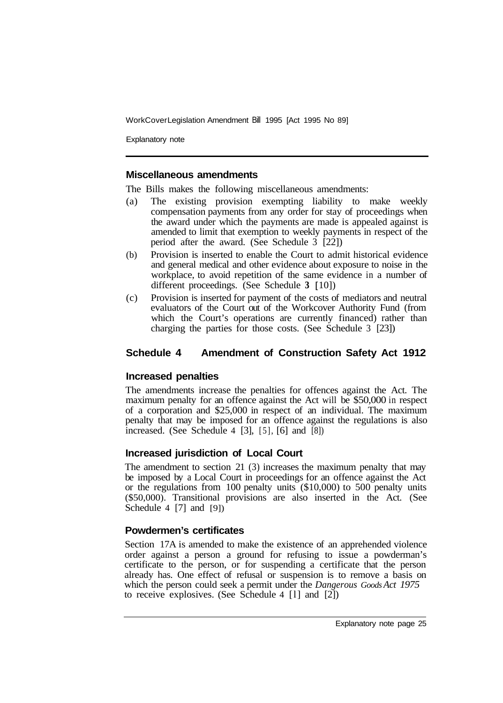Explanatory note

#### **Miscellaneous amendments**

The Bills makes the following miscellaneous amendments:

- (a) The existing provision exempting liability to make weekly compensation payments from any order for stay of proceedings when the award under which the payments are made is appealed against is amended to limit that exemption to weekly payments in respect of the period after the award. (See Schedule  $\overline{3}$  [22])
- (b) Provision is inserted to enable the Court to admit historical evidence and general medical and other evidence about exposure to noise in the workplace, to avoid repetition of the same evidence in a number of different proceedings. (See Schedule **3** [ 10])
- (c) Provision is inserted for payment of the costs of mediators and neutral evaluators of the Court out of the Workcover Authority Fund (from which the Court's operations are currently financed) rather than charging the parties for those costs. (See Schedule 3 [23])

# **Schedule 4 Amendment of Construction Safety Act 1912**

#### **Increased penalties**

The amendments increase the penalties for offences against the Act. The maximum penalty for an offence against the Act will be \$50,000 in respect of a corporation and \$25,000 in respect of an individual. The maximum penalty that may be imposed for an offence against the regulations is also increased. (See Schedule 4 [3],  $[5]$ ,  $[6]$  and  $[8]$ )

# **Increased jurisdiction of Local Court**

The amendment to section 21 (3) increases the maximum penalty that may be imposed by a Local Court in proceedings for an offence against the Act or the regulations from 100 penalty units (\$10,000) to 500 penalty units (\$50,000). Transitional provisions are also inserted in the Act. (See Schedule 4 [7] and [9])

#### **Powdermen's certificates**

Section 17A is amended to make the existence of an apprehended violence order against a person a ground for refusing to issue a powderman's certificate to the person, or for suspending a certificate that the person already has. One effect of refusal or suspension is to remove a basis on which the person could seek a permit under the *Dangerous Goods Act 1975*  to receive explosives. (See Schedule 4  $[1]$  and  $[2]$ )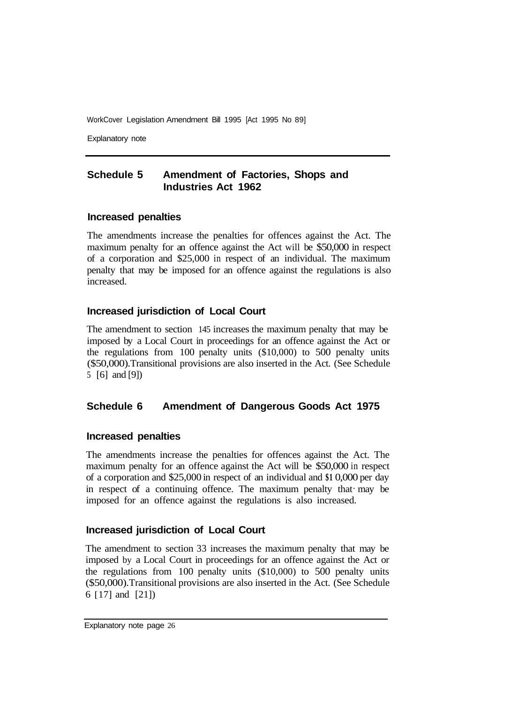Explanatory note

# **Schedule 5 Amendment of Factories, Shops and Industries Act 1962**

#### **Increased penalties**

The amendments increase the penalties for offences against the Act. The maximum penalty for an offence against the Act will be \$50,000 in respect of a corporation and \$25,000 in respect of an individual. The maximum penalty that may be imposed for an offence against the regulations is also increased.

# **Increased jurisdiction of Local Court**

The amendment to section 145 increases the maximum penalty that may be imposed by a Local Court in proceedings for an offence against the Act or the regulations from 100 penalty units (\$10,000) to 500 penalty units (\$50,000). Transitional provisions are also inserted in the Act. (See Schedule 5 [6] and [9])

#### **Schedule 6 Amendment of Dangerous Goods Act 1975**

#### **Increased penalties**

The amendments increase the penalties for offences against the Act. The maximum penalty for an offence against the Act will be \$50,000 in respect of a corporation and \$25,000 in respect of an individual and **\$1** 0,000 per day in respect of a continuing offence. The maximum penalty that may be imposed for an offence against the regulations is also increased.

#### **Increased jurisdiction of Local Court**

The amendment to section 33 increases the maximum penalty that may be imposed by a Local Court in proceedings for an offence against the Act or the regulations from 100 penalty units (\$10,000) to 500 penalty units (\$50,000). Transitional provisions are also inserted in the Act. (See Schedule 6 [ 17] and [21])